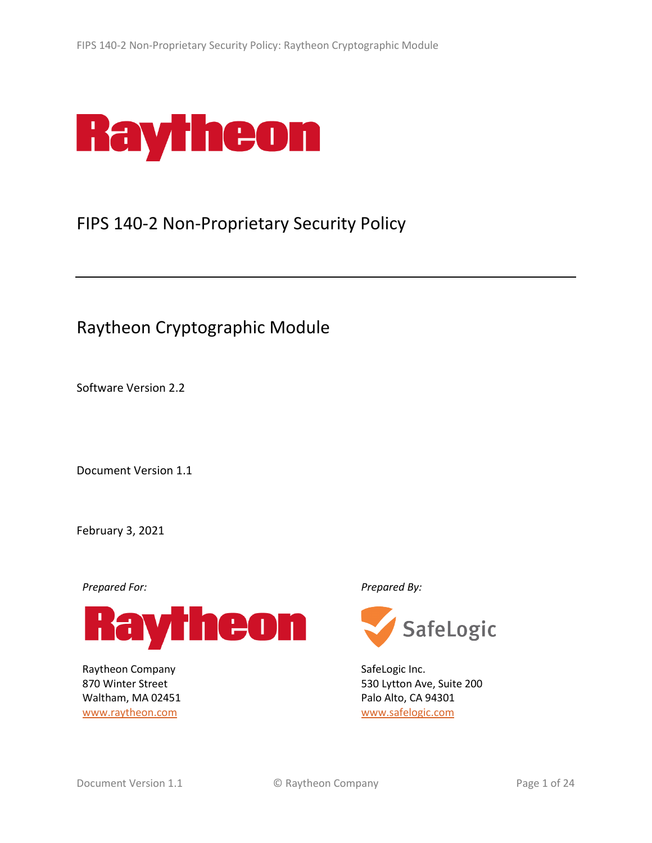

# FIPS 140-2 Non-Proprietary Security Policy

# Raytheon Cryptographic Module

Software Version 2.2

Document Version 1.1

February 3, 2021

*Prepared For: Prepared By:*



Raytheon Company 870 Winter Street Waltham, MA 02451 [www.raytheon.com](http://www.raytheon.com/)



SafeLogic Inc. 530 Lytton Ave, Suite 200 Palo Alto, CA 94301 [www.safelogic.com](http://www.safelogic.com/)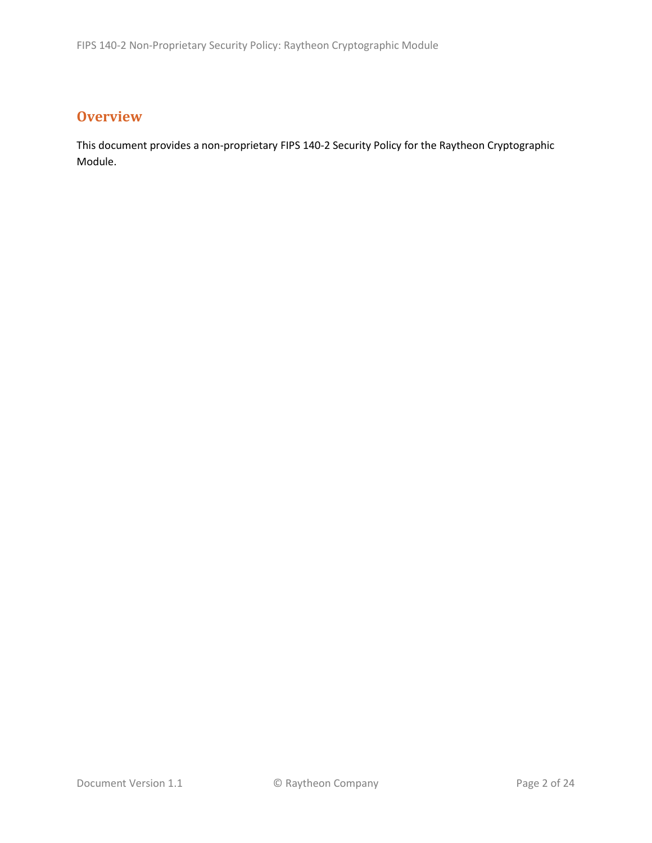# **Overview**

This document provides a non-proprietary FIPS 140-2 Security Policy for the Raytheon Cryptographic Module.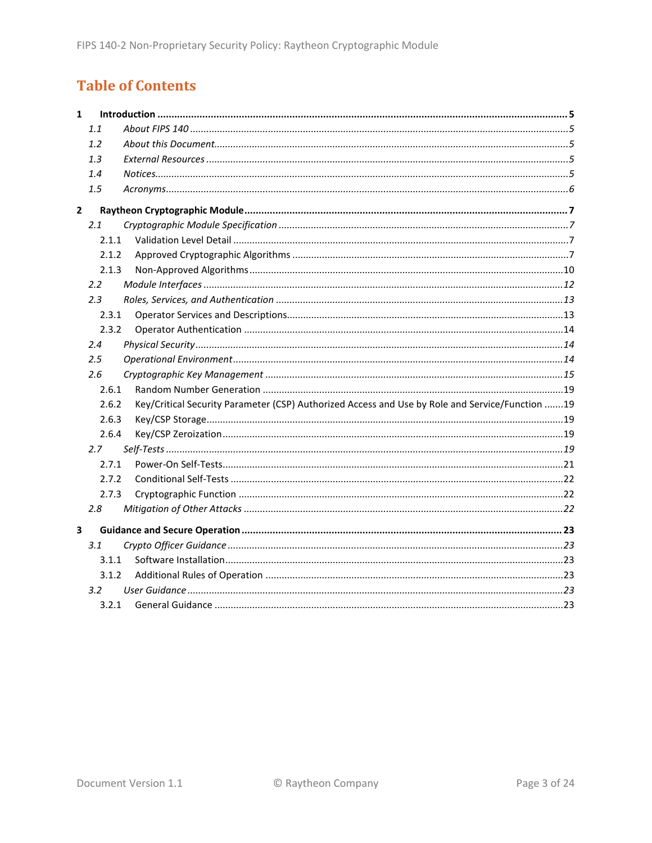# **Table of Contents**

| $\mathbf{1}$ |                  |                                                                                                 |
|--------------|------------------|-------------------------------------------------------------------------------------------------|
|              | 1.1              |                                                                                                 |
|              | 1.2              |                                                                                                 |
|              | 1.3              |                                                                                                 |
|              | 1.4              |                                                                                                 |
|              | 1.5              |                                                                                                 |
| $\mathbf{2}$ |                  |                                                                                                 |
|              | 2.1              |                                                                                                 |
|              | 2.1.1            |                                                                                                 |
|              | 2.1.2            |                                                                                                 |
|              | 2.1.3            |                                                                                                 |
|              | $2.2^{\circ}$    |                                                                                                 |
|              | 2.3              |                                                                                                 |
|              | 2.3.1            |                                                                                                 |
|              | 2.3.2            |                                                                                                 |
|              | 2.4              |                                                                                                 |
|              | 2.5              |                                                                                                 |
|              | 2.6              |                                                                                                 |
|              | 2.6.1            |                                                                                                 |
|              | 2.6.2            | Key/Critical Security Parameter (CSP) Authorized Access and Use by Role and Service/Function 19 |
|              | 2.6.3            |                                                                                                 |
|              | 2.6.4            |                                                                                                 |
|              | 2.7              |                                                                                                 |
|              | 2.7.1            |                                                                                                 |
|              | 2.7.2            |                                                                                                 |
|              | 2.7.3            |                                                                                                 |
|              | 2.8              |                                                                                                 |
| 3            |                  |                                                                                                 |
|              | 3.1              |                                                                                                 |
|              | 3.1.1            |                                                                                                 |
|              | 3.1.2            |                                                                                                 |
|              | 3.2 <sub>2</sub> |                                                                                                 |
|              | 3.2.1            |                                                                                                 |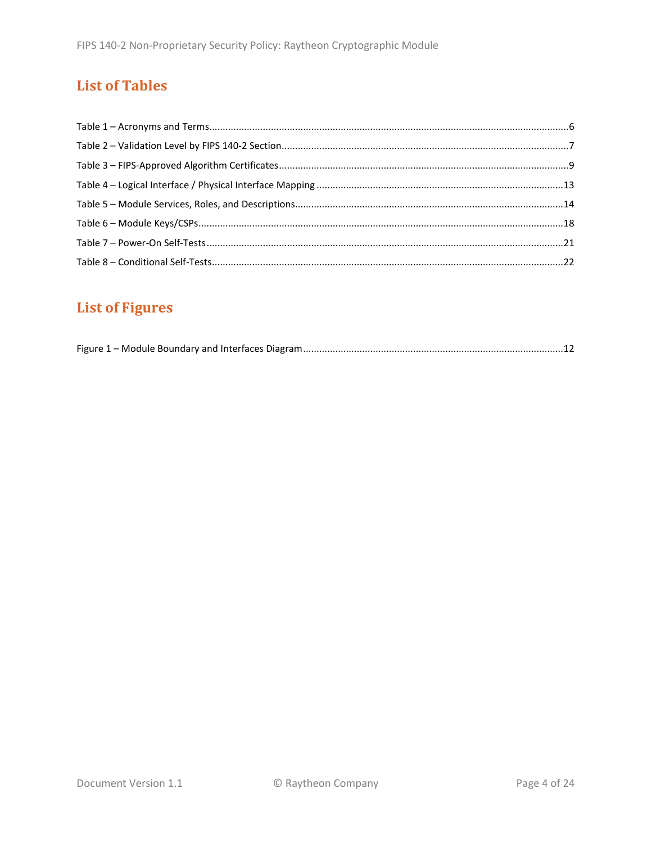# **List of Tables**

# **List of Figures**

|--|--|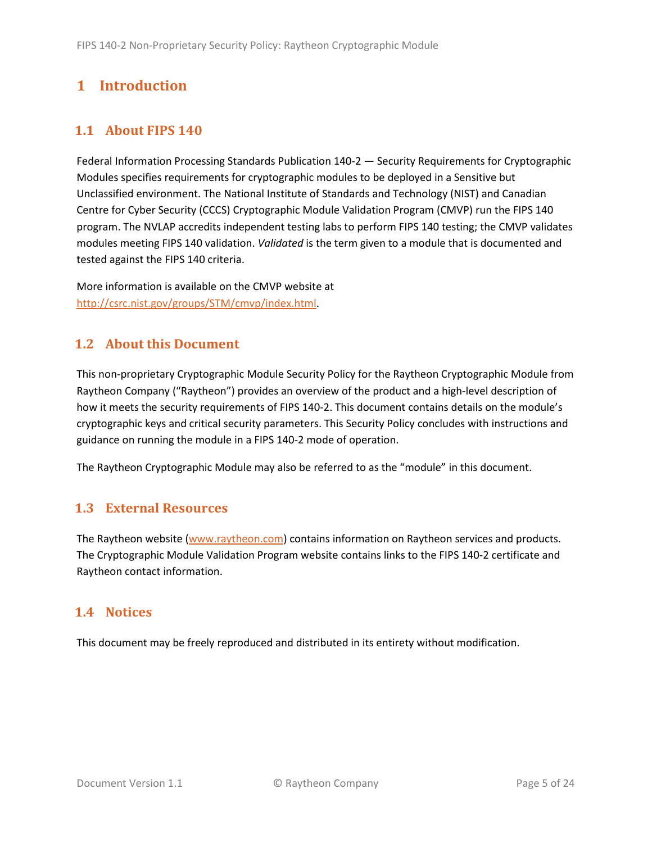# <span id="page-4-0"></span>**1 Introduction**

# <span id="page-4-1"></span>**1.1 About FIPS 140**

Federal Information Processing Standards Publication 140-2 — Security Requirements for Cryptographic Modules specifies requirements for cryptographic modules to be deployed in a Sensitive but Unclassified environment. The National Institute of Standards and Technology (NIST) and Canadian Centre for Cyber Security (CCCS) Cryptographic Module Validation Program (CMVP) run the FIPS 140 program. The NVLAP accredits independent testing labs to perform FIPS 140 testing; the CMVP validates modules meeting FIPS 140 validation. *Validated* is the term given to a module that is documented and tested against the FIPS 140 criteria.

More information is available on the CMVP website at [http://csrc.nist.gov/groups/STM/cmvp/index.html.](http://csrc.nist.gov/groups/STM/cmvp/index.html)

# <span id="page-4-2"></span>**1.2 About this Document**

This non-proprietary Cryptographic Module Security Policy for the Raytheon Cryptographic Module from Raytheon Company ("Raytheon") provides an overview of the product and a high-level description of how it meets the security requirements of FIPS 140-2. This document contains details on the module's cryptographic keys and critical security parameters. This Security Policy concludes with instructions and guidance on running the module in a FIPS 140-2 mode of operation.

The Raytheon Cryptographic Module may also be referred to as the "module" in this document.

## <span id="page-4-3"></span>**1.3 External Resources**

The Raytheon website [\(www.raytheon.com\)](http://www.raytheon.com/) contains information on Raytheon services and products. The Cryptographic Module Validation Program website contains links to the FIPS 140-2 certificate and Raytheon contact information.

#### <span id="page-4-4"></span>**1.4 Notices**

This document may be freely reproduced and distributed in its entirety without modification.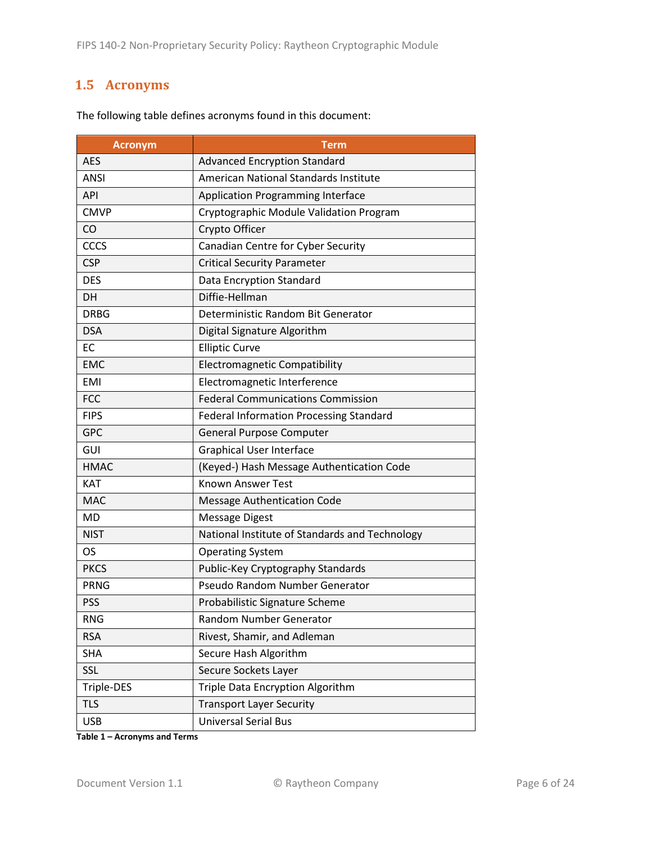# <span id="page-5-0"></span>**1.5 Acronyms**

| <b>Acronym</b> | <b>Term</b>                                    |
|----------------|------------------------------------------------|
| <b>AES</b>     | <b>Advanced Encryption Standard</b>            |
| <b>ANSI</b>    | American National Standards Institute          |
| API            | <b>Application Programming Interface</b>       |
| <b>CMVP</b>    | Cryptographic Module Validation Program        |
| CO             | Crypto Officer                                 |
| CCCS           | Canadian Centre for Cyber Security             |
| <b>CSP</b>     | <b>Critical Security Parameter</b>             |
| <b>DES</b>     | Data Encryption Standard                       |
| DH             | Diffie-Hellman                                 |
| <b>DRBG</b>    | Deterministic Random Bit Generator             |
| <b>DSA</b>     | Digital Signature Algorithm                    |
| EC             | <b>Elliptic Curve</b>                          |
| <b>EMC</b>     | <b>Electromagnetic Compatibility</b>           |
| EMI            | Electromagnetic Interference                   |
| <b>FCC</b>     | <b>Federal Communications Commission</b>       |
| <b>FIPS</b>    | <b>Federal Information Processing Standard</b> |
| <b>GPC</b>     | <b>General Purpose Computer</b>                |
| GUI            | <b>Graphical User Interface</b>                |
| <b>HMAC</b>    | (Keyed-) Hash Message Authentication Code      |
| <b>KAT</b>     | <b>Known Answer Test</b>                       |
| <b>MAC</b>     | <b>Message Authentication Code</b>             |
| <b>MD</b>      | <b>Message Digest</b>                          |
| <b>NIST</b>    | National Institute of Standards and Technology |
| OS.            | <b>Operating System</b>                        |
| <b>PKCS</b>    | Public-Key Cryptography Standards              |
| <b>PRNG</b>    | Pseudo Random Number Generator                 |
| <b>PSS</b>     | Probabilistic Signature Scheme                 |
| <b>RNG</b>     | Random Number Generator                        |
| <b>RSA</b>     | Rivest, Shamir, and Adleman                    |
| <b>SHA</b>     | Secure Hash Algorithm                          |
| SSL            | Secure Sockets Layer                           |
| Triple-DES     | Triple Data Encryption Algorithm               |
| <b>TLS</b>     | <b>Transport Layer Security</b>                |
| <b>USB</b>     | <b>Universal Serial Bus</b>                    |

The following table defines acronyms found in this document:

**Table 1 – Acronyms and Terms**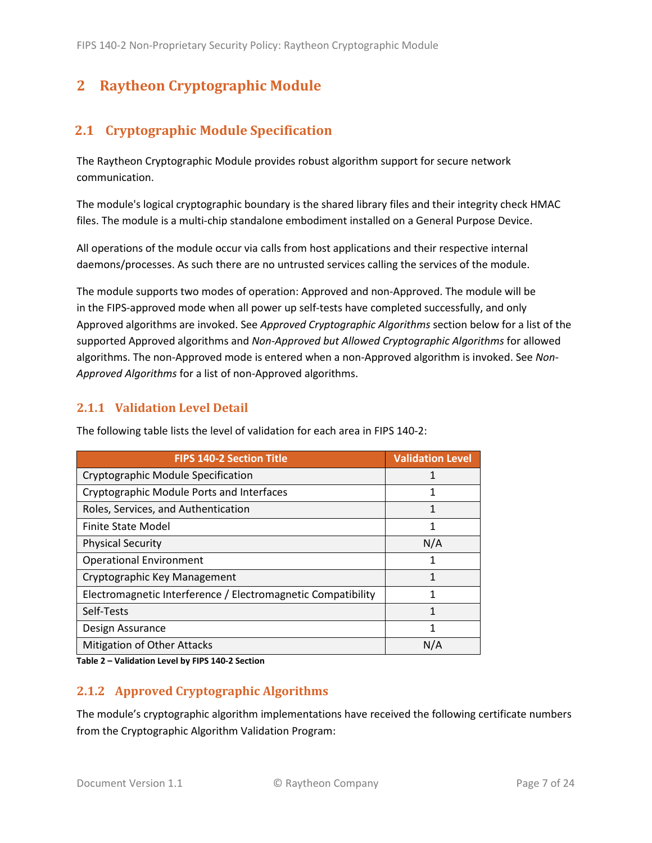# <span id="page-6-0"></span>**2 Raytheon Cryptographic Module**

# <span id="page-6-1"></span>**2.1 Cryptographic Module Specification**

The Raytheon Cryptographic Module provides robust algorithm support for secure network communication.

The module's logical cryptographic boundary is the shared library files and their integrity check HMAC files. The module is a multi-chip standalone embodiment installed on a General Purpose Device.

All operations of the module occur via calls from host applications and their respective internal daemons/processes. As such there are no untrusted services calling the services of the module.

The module supports two modes of operation: Approved and non-Approved. The module will be in the FIPS-approved mode when all power up self-tests have completed successfully, and only Approved algorithms are invoked. See *Approved Cryptographic Algorithms* section below for a list of the supported Approved algorithms and *Non-Approved but Allowed Cryptographic Algorithms* for allowed algorithms. The non-Approved mode is entered when a non-Approved algorithm is invoked. See *Non-Approved Algorithms* for a list of non-Approved algorithms.

#### <span id="page-6-2"></span>**2.1.1 Validation Level Detail**

| <b>FIPS 140-2 Section Title</b>                              | <b>Validation Level</b> |
|--------------------------------------------------------------|-------------------------|
| Cryptographic Module Specification                           | 1                       |
| Cryptographic Module Ports and Interfaces                    | 1                       |
| Roles, Services, and Authentication                          | 1                       |
| <b>Finite State Model</b>                                    | 1                       |
| <b>Physical Security</b>                                     | N/A                     |
| <b>Operational Environment</b>                               | 1                       |
| Cryptographic Key Management                                 | 1                       |
| Electromagnetic Interference / Electromagnetic Compatibility | 1                       |
| Self-Tests                                                   | 1                       |
| Design Assurance                                             | 1                       |
| Mitigation of Other Attacks                                  | N/A                     |

The following table lists the level of validation for each area in FIPS 140-2:

**Table 2 – Validation Level by FIPS 140-2 Section**

#### <span id="page-6-3"></span>**2.1.2 Approved Cryptographic Algorithms**

The module's cryptographic algorithm implementations have received the following certificate numbers from the Cryptographic Algorithm Validation Program: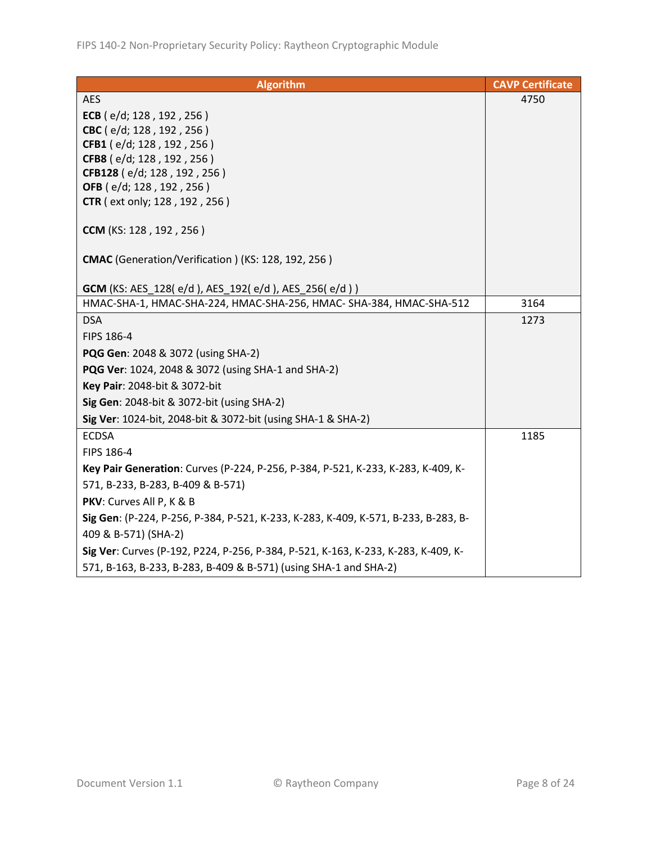| <b>Algorithm</b>                                                                   | <b>CAVP Certificate</b> |
|------------------------------------------------------------------------------------|-------------------------|
| <b>AES</b>                                                                         | 4750                    |
| ECB ( $e/d$ ; 128, 192, 256)                                                       |                         |
| CBC (e/d; 128, 192, 256)                                                           |                         |
| CFB1 (e/d; 128, 192, 256)                                                          |                         |
| CFB8 (e/d; 128, 192, 256)                                                          |                         |
| CFB128 (e/d; 128, 192, 256)<br>OFB (e/d; 128, 192, 256)                            |                         |
| <b>CTR</b> (ext only; 128, 192, 256)                                               |                         |
|                                                                                    |                         |
| <b>CCM</b> (KS: 128, 192, 256)                                                     |                         |
| CMAC (Generation/Verification) (KS: 128, 192, 256)                                 |                         |
| <b>GCM</b> (KS: AES_128(e/d), AES_192(e/d), AES_256(e/d))                          |                         |
| HMAC-SHA-1, HMAC-SHA-224, HMAC-SHA-256, HMAC- SHA-384, HMAC-SHA-512                | 3164                    |
| <b>DSA</b>                                                                         | 1273                    |
| FIPS 186-4                                                                         |                         |
| PQG Gen: 2048 & 3072 (using SHA-2)                                                 |                         |
| PQG Ver: 1024, 2048 & 3072 (using SHA-1 and SHA-2)                                 |                         |
| Key Pair: 2048-bit & 3072-bit                                                      |                         |
| Sig Gen: 2048-bit & 3072-bit (using SHA-2)                                         |                         |
| Sig Ver: 1024-bit, 2048-bit & 3072-bit (using SHA-1 & SHA-2)                       |                         |
| <b>ECDSA</b>                                                                       | 1185                    |
| FIPS 186-4                                                                         |                         |
| Key Pair Generation: Curves (P-224, P-256, P-384, P-521, K-233, K-283, K-409, K-   |                         |
| 571, B-233, B-283, B-409 & B-571)                                                  |                         |
| PKV: Curves All P, K & B                                                           |                         |
| Sig Gen: (P-224, P-256, P-384, P-521, K-233, K-283, K-409, K-571, B-233, B-283, B- |                         |
| 409 & B-571) (SHA-2)                                                               |                         |
| Sig Ver: Curves (P-192, P224, P-256, P-384, P-521, K-163, K-233, K-283, K-409, K-  |                         |
| 571, B-163, B-233, B-283, B-409 & B-571) (using SHA-1 and SHA-2)                   |                         |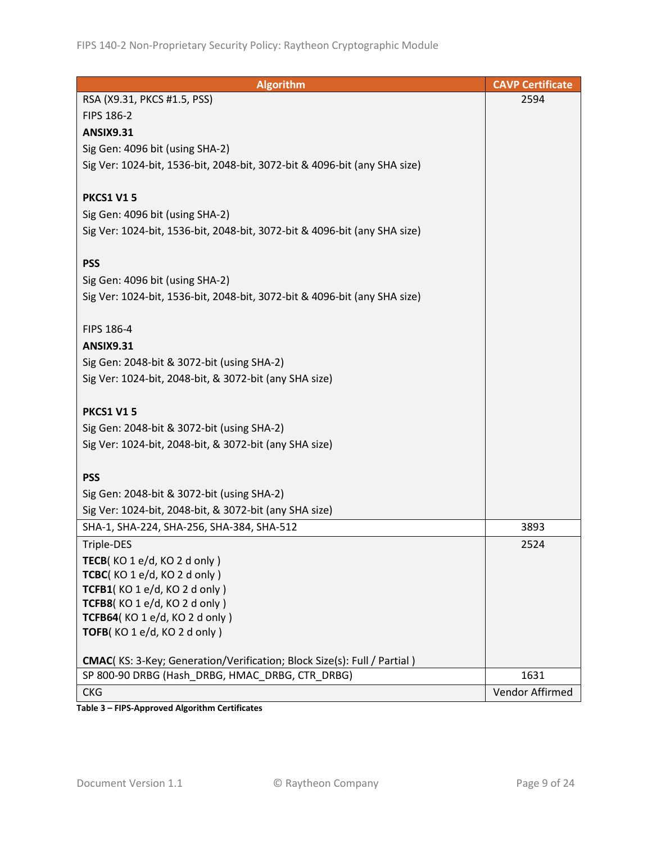| <b>Algorithm</b>                                                          | <b>CAVP Certificate</b> |
|---------------------------------------------------------------------------|-------------------------|
| RSA (X9.31, PKCS #1.5, PSS)                                               | 2594                    |
| FIPS 186-2                                                                |                         |
| <b>ANSIX9.31</b>                                                          |                         |
| Sig Gen: 4096 bit (using SHA-2)                                           |                         |
| Sig Ver: 1024-bit, 1536-bit, 2048-bit, 3072-bit & 4096-bit (any SHA size) |                         |
|                                                                           |                         |
| <b>PKCS1 V15</b>                                                          |                         |
| Sig Gen: 4096 bit (using SHA-2)                                           |                         |
| Sig Ver: 1024-bit, 1536-bit, 2048-bit, 3072-bit & 4096-bit (any SHA size) |                         |
|                                                                           |                         |
| <b>PSS</b>                                                                |                         |
| Sig Gen: 4096 bit (using SHA-2)                                           |                         |
| Sig Ver: 1024-bit, 1536-bit, 2048-bit, 3072-bit & 4096-bit (any SHA size) |                         |
|                                                                           |                         |
| FIPS 186-4                                                                |                         |
| <b>ANSIX9.31</b>                                                          |                         |
| Sig Gen: 2048-bit & 3072-bit (using SHA-2)                                |                         |
| Sig Ver: 1024-bit, 2048-bit, & 3072-bit (any SHA size)                    |                         |
|                                                                           |                         |
| <b>PKCS1 V15</b>                                                          |                         |
| Sig Gen: 2048-bit & 3072-bit (using SHA-2)                                |                         |
| Sig Ver: 1024-bit, 2048-bit, & 3072-bit (any SHA size)                    |                         |
|                                                                           |                         |
| <b>PSS</b>                                                                |                         |
| Sig Gen: 2048-bit & 3072-bit (using SHA-2)                                |                         |
| Sig Ver: 1024-bit, 2048-bit, & 3072-bit (any SHA size)                    |                         |
| SHA-1, SHA-224, SHA-256, SHA-384, SHA-512                                 | 3893                    |
| Triple-DES                                                                | 2524                    |
| TECB(KO 1 e/d, KO 2 d only)                                               |                         |
| TCBC(KO1e/d, KO2donly)                                                    |                         |
| TCFB1(KO 1 e/d, KO 2 d only)                                              |                         |
| TCFB8(KO 1 e/d, KO 2 d only)                                              |                         |
| TCFB64(KO 1 e/d, KO 2 d only)                                             |                         |
| TOFB(KO 1 e/d, KO 2 d only)                                               |                         |
| CMAC(KS: 3-Key; Generation/Verification; Block Size(s): Full / Partial)   |                         |
| SP 800-90 DRBG (Hash DRBG, HMAC DRBG, CTR DRBG)                           | 1631                    |
| <b>CKG</b>                                                                | Vendor Affirmed         |
|                                                                           |                         |

**Table 3 – FIPS-Approved Algorithm Certificates**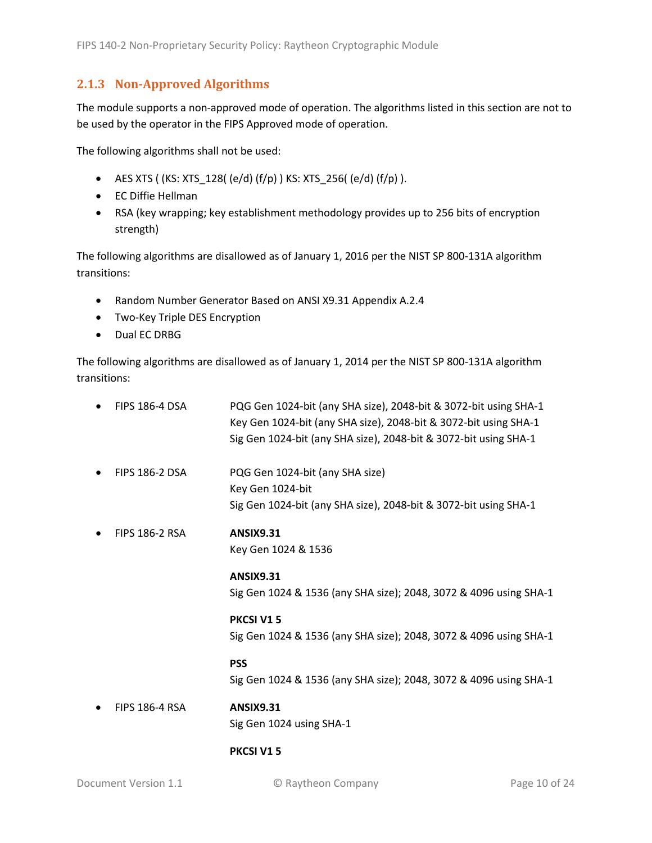#### <span id="page-9-0"></span>**2.1.3 Non-Approved Algorithms**

The module supports a non-approved mode of operation. The algorithms listed in this section are not to be used by the operator in the FIPS Approved mode of operation.

The following algorithms shall not be used:

- AES XTS (  $(KS: XTS_128$  (  $(e/d)$   $(f/p)$  )  $KS: XTS_256$  ( $(e/d)$   $(f/p)$  ).
- EC Diffie Hellman
- RSA (key wrapping; key establishment methodology provides up to 256 bits of encryption strength)

The following algorithms are disallowed as of January 1, 2016 per the NIST SP 800-131A algorithm transitions:

- Random Number Generator Based on ANSI X9.31 Appendix A.2.4
- Two-Key Triple DES Encryption
- Dual EC DRBG

The following algorithms are disallowed as of January 1, 2014 per the NIST SP 800-131A algorithm transitions:

| <b>FIPS 186-4 DSA</b> | PQG Gen 1024-bit (any SHA size), 2048-bit & 3072-bit using SHA-1<br>Key Gen 1024-bit (any SHA size), 2048-bit & 3072-bit using SHA-1<br>Sig Gen 1024-bit (any SHA size), 2048-bit & 3072-bit using SHA-1 |
|-----------------------|----------------------------------------------------------------------------------------------------------------------------------------------------------------------------------------------------------|
| <b>FIPS 186-2 DSA</b> | PQG Gen 1024-bit (any SHA size)<br>Key Gen 1024-bit<br>Sig Gen 1024-bit (any SHA size), 2048-bit & 3072-bit using SHA-1                                                                                  |
| <b>FIPS 186-2 RSA</b> | <b>ANSIX9.31</b><br>Key Gen 1024 & 1536                                                                                                                                                                  |
|                       | <b>ANSIX9.31</b><br>Sig Gen 1024 & 1536 (any SHA size); 2048, 3072 & 4096 using SHA-1                                                                                                                    |
|                       | PKCSI V15<br>Sig Gen 1024 & 1536 (any SHA size); 2048, 3072 & 4096 using SHA-1                                                                                                                           |
|                       | <b>PSS</b><br>Sig Gen 1024 & 1536 (any SHA size); 2048, 3072 & 4096 using SHA-1                                                                                                                          |
| <b>FIPS 186-4 RSA</b> | <b>ANSIX9.31</b><br>Sig Gen 1024 using SHA-1                                                                                                                                                             |

#### **PKCSI V1 5**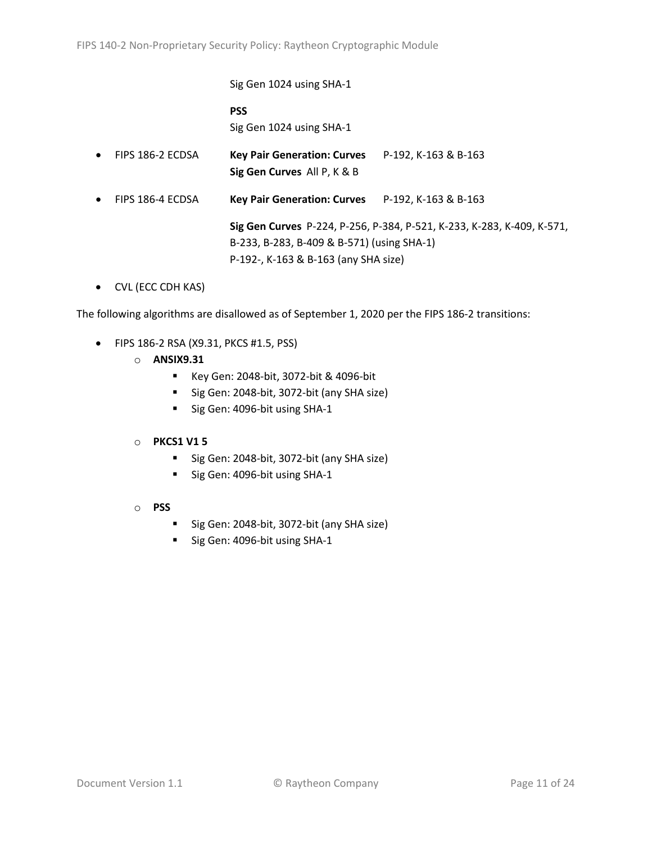Sig Gen 1024 using SHA-1 **PSS** Sig Gen 1024 using SHA-1 • FIPS 186-2 ECDSA **Key Pair Generation: Curves** P-192, K-163 & B-163 **Sig Gen Curves** All P, K & B • FIPS 186-4 ECDSA **Key Pair Generation: Curves** P-192, K-163 & B-163 **Sig Gen Curves** P-224, P-256, P-384, P-521, K-233, K-283, K-409, K-571, B-233, B-283, B-409 & B-571) (using SHA-1) P-192-, K-163 & B-163 (any SHA size)

• CVL (ECC CDH KAS)

The following algorithms are disallowed as of September 1, 2020 per the FIPS 186-2 transitions:

- FIPS 186-2 RSA (X9.31, PKCS #1.5, PSS)
	- o **ANSIX9.31**
		- Key Gen: 2048-bit, 3072-bit & 4096-bit
		- Sig Gen: 2048-bit, 3072-bit (any SHA size)
		- Sig Gen: 4096-bit using SHA-1

#### o **PKCS1 V1 5**

- Sig Gen: 2048-bit, 3072-bit (any SHA size)
- Sig Gen: 4096-bit using SHA-1
- o **PSS**
	- Sig Gen: 2048-bit, 3072-bit (any SHA size)
	- Sig Gen: 4096-bit using SHA-1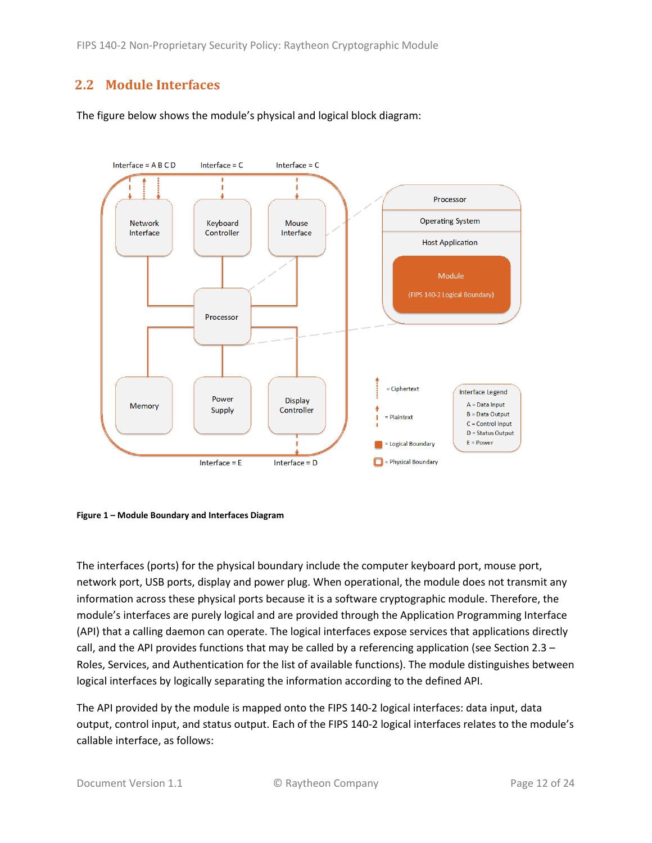# <span id="page-11-0"></span>**2.2 Module Interfaces**

The figure below shows the module's physical and logical block diagram:



<span id="page-11-1"></span>

The interfaces (ports) for the physical boundary include the computer keyboard port, mouse port, network port, USB ports, display and power plug. When operational, the module does not transmit any information across these physical ports because it is a software cryptographic module. Therefore, the module's interfaces are purely logical and are provided through the Application Programming Interface (API) that a calling daemon can operate. The logical interfaces expose services that applications directly call, and the API provides functions that may be called by a referencing application (see Sectio[n 2.3](#page-12-0) – Roles, Services, [and Authentication](#page-12-0) for the list of available functions). The module distinguishes between logical interfaces by logically separating the information according to the defined API.

The API provided by the module is mapped onto the FIPS 140-2 logical interfaces: data input, data output, control input, and status output. Each of the FIPS 140-2 logical interfaces relates to the module's callable interface, as follows: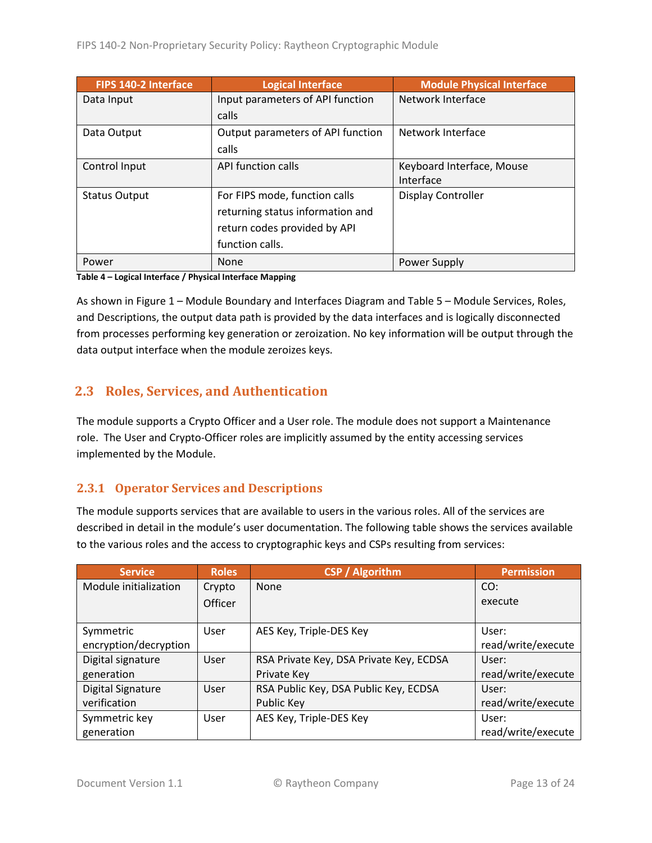| FIPS 140-2 Interface | <b>Logical Interface</b>          | <b>Module Physical Interface</b> |
|----------------------|-----------------------------------|----------------------------------|
| Data Input           | Input parameters of API function  | Network Interface                |
|                      | calls                             |                                  |
| Data Output          | Output parameters of API function | Network Interface                |
|                      | calls                             |                                  |
| Control Input        | API function calls                | Keyboard Interface, Mouse        |
|                      |                                   | Interface                        |
| <b>Status Output</b> | For FIPS mode, function calls     | Display Controller               |
|                      | returning status information and  |                                  |
|                      | return codes provided by API      |                                  |
|                      | function calls.                   |                                  |
| Power                | None                              | Power Supply                     |

**Table 4 – Logical Interface / Physical Interface Mapping**

As shown in Figure 1 – [Module Boundary and Interfaces Diagram](#page-11-1) and Table 5 – Module [Services, Roles,](#page-13-3) [and Descriptions,](#page-13-3) the output data path is provided by the data interfaces and is logically disconnected from processes performing key generation or zeroization. No key information will be output through the data output interface when the module zeroizes keys.

## <span id="page-12-0"></span>**2.3 Roles, Services, and Authentication**

The module supports a Crypto Officer and a User role. The module does not support a Maintenance role. The User and Crypto-Officer roles are implicitly assumed by the entity accessing services implemented by the Module.

#### <span id="page-12-1"></span>**2.3.1 Operator Services and Descriptions**

The module supports services that are available to users in the various roles. All of the services are described in detail in the module's user documentation. The following table shows the services available to the various roles and the access to cryptographic keys and CSPs resulting from services:

| <b>Service</b>           | <b>Roles</b>   | <b>CSP / Algorithm</b>                  | <b>Permission</b>  |
|--------------------------|----------------|-----------------------------------------|--------------------|
| Module initialization    | Crypto         | None                                    | CO:                |
|                          | <b>Officer</b> |                                         | execute            |
|                          |                |                                         |                    |
| Symmetric                | User           | AES Key, Triple-DES Key                 | User:              |
| encryption/decryption    |                |                                         | read/write/execute |
| Digital signature        | User           | RSA Private Key, DSA Private Key, ECDSA | User:              |
| generation               |                | Private Key                             | read/write/execute |
| <b>Digital Signature</b> | User           | RSA Public Key, DSA Public Key, ECDSA   | User:              |
| verification             |                | Public Key                              | read/write/execute |
| Symmetric key            | User           | AES Key, Triple-DES Key                 | User:              |
| generation               |                |                                         | read/write/execute |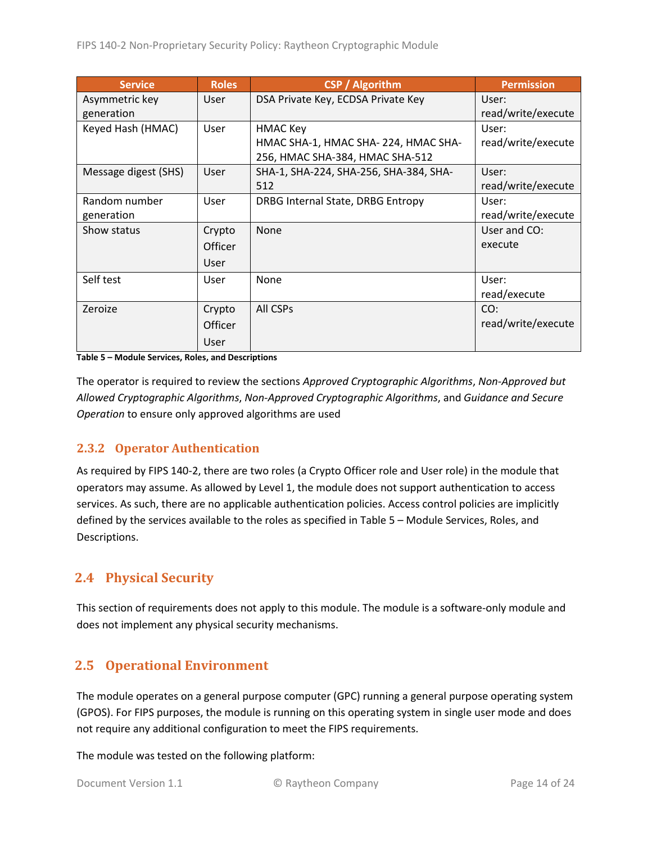| <b>Service</b>       | <b>Roles</b> | <b>CSP</b> / Algorithm                 | <b>Permission</b>  |
|----------------------|--------------|----------------------------------------|--------------------|
| Asymmetric key       | User         | DSA Private Key, ECDSA Private Key     | User:              |
| generation           |              |                                        | read/write/execute |
| Keyed Hash (HMAC)    | User         | HMAC Key                               | User:              |
|                      |              | HMAC SHA-1, HMAC SHA-224, HMAC SHA-    | read/write/execute |
|                      |              | 256, HMAC SHA-384, HMAC SHA-512        |                    |
| Message digest (SHS) | User         | SHA-1, SHA-224, SHA-256, SHA-384, SHA- | User:              |
|                      |              | 512                                    | read/write/execute |
| Random number        | User         | DRBG Internal State, DRBG Entropy      | User:              |
| generation           |              |                                        | read/write/execute |
| Show status          | Crypto       | None                                   | User and CO:       |
|                      | Officer      |                                        | execute            |
|                      | User         |                                        |                    |
| Self test            | User         | None                                   | User:              |
|                      |              |                                        | read/execute       |
| Zeroize              | Crypto       | All CSPs                               | CO:                |
|                      | Officer      |                                        | read/write/execute |
|                      | User         |                                        |                    |

<span id="page-13-3"></span>**Table 5 – Module Services, Roles, and Descriptions**

The operator is required to review the sections *Approved Cryptographic Algorithms*, *Non-Approved but Allowed Cryptographic Algorithms*, *Non-Approved Cryptographic Algorithms*, and *Guidance and Secure Operation* to ensure only approved algorithms are used

#### <span id="page-13-0"></span>**2.3.2 Operator Authentication**

As required by FIPS 140-2, there are two roles (a Crypto Officer role and User role) in the module that operators may assume. As allowed by Level 1, the module does not support authentication to access services. As such, there are no applicable authentication policies. Access control policies are implicitly defined by the services available to the roles as specified in Table 5 – Module [Services, Roles,](#page-13-3) and [Descriptions.](#page-13-3)

## <span id="page-13-1"></span>**2.4 Physical Security**

This section of requirements does not apply to this module. The module is a software-only module and does not implement any physical security mechanisms.

## <span id="page-13-2"></span>**2.5 Operational Environment**

The module operates on a general purpose computer (GPC) running a general purpose operating system (GPOS). For FIPS purposes, the module is running on this operating system in single user mode and does not require any additional configuration to meet the FIPS requirements.

The module was tested on the following platform: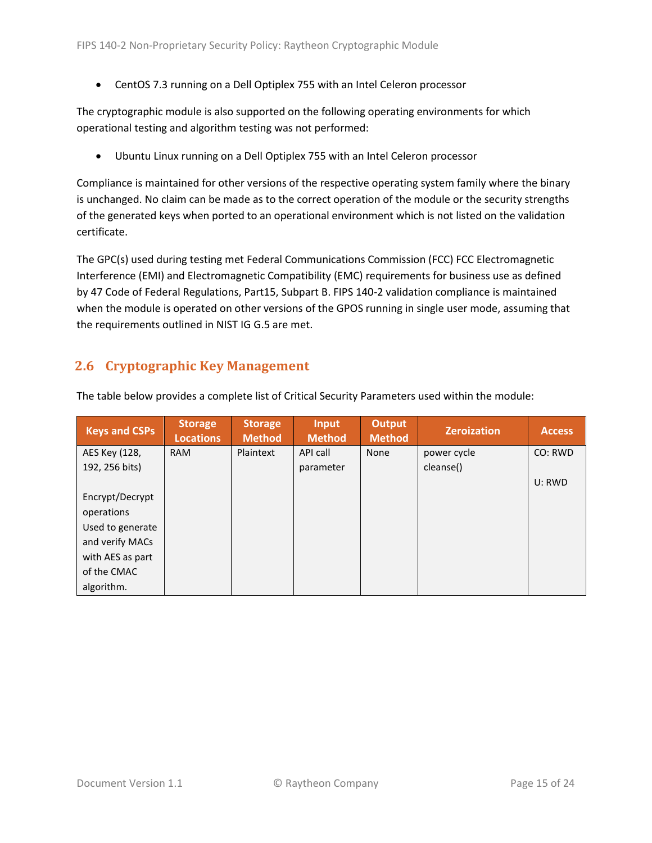• CentOS 7.3 running on a Dell Optiplex 755 with an Intel Celeron processor

The cryptographic module is also supported on the following operating environments for which operational testing and algorithm testing was not performed:

• Ubuntu Linux running on a Dell Optiplex 755 with an Intel Celeron processor

Compliance is maintained for other versions of the respective operating system family where the binary is unchanged. No claim can be made as to the correct operation of the module or the security strengths of the generated keys when ported to an operational environment which is not listed on the validation certificate.

The GPC(s) used during testing met Federal Communications Commission (FCC) FCC Electromagnetic Interference (EMI) and Electromagnetic Compatibility (EMC) requirements for business use as defined by 47 Code of Federal Regulations, Part15, Subpart B. FIPS 140-2 validation compliance is maintained when the module is operated on other versions of the GPOS running in single user mode, assuming that the requirements outlined in NIST IG G.5 are met.

## <span id="page-14-0"></span>**2.6 Cryptographic Key Management**

| <b>Keys and CSPs</b> | <b>Storage</b><br><b>Locations</b> | <b>Storage</b><br><b>Method</b> | <b>Input</b><br><b>Method</b> | <b>Output</b><br><b>Method</b> | <b>Zeroization</b> | <b>Access</b> |
|----------------------|------------------------------------|---------------------------------|-------------------------------|--------------------------------|--------------------|---------------|
| AES Key (128,        | <b>RAM</b>                         | Plaintext                       | API call                      | None                           | power cycle        | CO: RWD       |
| 192, 256 bits)       |                                    |                                 | parameter                     |                                | cleanse()          |               |
|                      |                                    |                                 |                               |                                |                    | U: RWD        |
| Encrypt/Decrypt      |                                    |                                 |                               |                                |                    |               |
| operations           |                                    |                                 |                               |                                |                    |               |
| Used to generate     |                                    |                                 |                               |                                |                    |               |
| and verify MACs      |                                    |                                 |                               |                                |                    |               |
| with AES as part     |                                    |                                 |                               |                                |                    |               |
| of the CMAC          |                                    |                                 |                               |                                |                    |               |
| algorithm.           |                                    |                                 |                               |                                |                    |               |

The table below provides a complete list of Critical Security Parameters used within the module: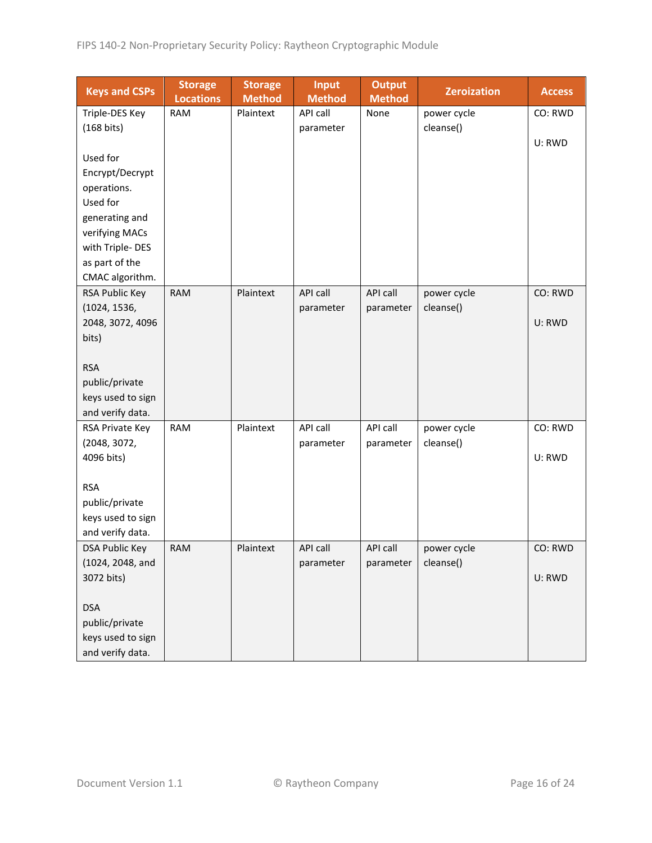| <b>Keys and CSPs</b>  | <b>Storage</b><br><b>Locations</b> | <b>Storage</b><br><b>Method</b> | <b>Input</b><br><b>Method</b> | <b>Output</b><br><b>Method</b> | <b>Zeroization</b> | <b>Access</b> |
|-----------------------|------------------------------------|---------------------------------|-------------------------------|--------------------------------|--------------------|---------------|
| Triple-DES Key        | <b>RAM</b>                         | Plaintext                       | API call                      | None                           | power cycle        | CO: RWD       |
| (168 bits)            |                                    |                                 | parameter                     |                                | cleanse()          |               |
|                       |                                    |                                 |                               |                                |                    | U: RWD        |
| Used for              |                                    |                                 |                               |                                |                    |               |
| Encrypt/Decrypt       |                                    |                                 |                               |                                |                    |               |
| operations.           |                                    |                                 |                               |                                |                    |               |
| Used for              |                                    |                                 |                               |                                |                    |               |
| generating and        |                                    |                                 |                               |                                |                    |               |
| verifying MACs        |                                    |                                 |                               |                                |                    |               |
| with Triple-DES       |                                    |                                 |                               |                                |                    |               |
| as part of the        |                                    |                                 |                               |                                |                    |               |
| CMAC algorithm.       |                                    |                                 |                               |                                |                    |               |
| RSA Public Key        | <b>RAM</b>                         | Plaintext                       | API call                      | API call                       | power cycle        | CO: RWD       |
| (1024, 1536,          |                                    |                                 | parameter                     | parameter                      | cleanse()          |               |
| 2048, 3072, 4096      |                                    |                                 |                               |                                |                    | U: RWD        |
| bits)                 |                                    |                                 |                               |                                |                    |               |
|                       |                                    |                                 |                               |                                |                    |               |
| <b>RSA</b>            |                                    |                                 |                               |                                |                    |               |
| public/private        |                                    |                                 |                               |                                |                    |               |
| keys used to sign     |                                    |                                 |                               |                                |                    |               |
| and verify data.      |                                    |                                 |                               |                                |                    |               |
| RSA Private Key       | <b>RAM</b>                         | Plaintext                       | API call                      | API call                       | power cycle        | CO: RWD       |
| (2048, 3072,          |                                    |                                 | parameter                     | parameter                      | cleanse()          |               |
| 4096 bits)            |                                    |                                 |                               |                                |                    | U: RWD        |
|                       |                                    |                                 |                               |                                |                    |               |
| <b>RSA</b>            |                                    |                                 |                               |                                |                    |               |
| public/private        |                                    |                                 |                               |                                |                    |               |
| keys used to sign     |                                    |                                 |                               |                                |                    |               |
| and verify data.      |                                    |                                 |                               |                                |                    |               |
| <b>DSA Public Key</b> | <b>RAM</b>                         | Plaintext                       | API call                      | API call                       | power cycle        | CO: RWD       |
| (1024, 2048, and      |                                    |                                 | parameter                     | parameter                      | cleanse()          |               |
| 3072 bits)            |                                    |                                 |                               |                                |                    | U: RWD        |
|                       |                                    |                                 |                               |                                |                    |               |
| <b>DSA</b>            |                                    |                                 |                               |                                |                    |               |
| public/private        |                                    |                                 |                               |                                |                    |               |
| keys used to sign     |                                    |                                 |                               |                                |                    |               |
| and verify data.      |                                    |                                 |                               |                                |                    |               |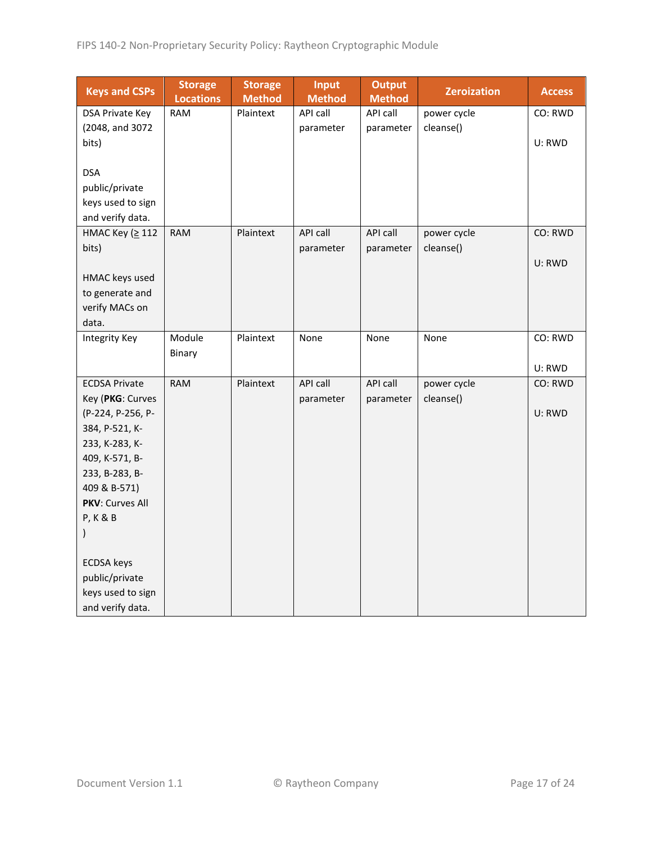| <b>Keys and CSPs</b>                     | <b>Storage</b><br><b>Locations</b> | <b>Storage</b><br><b>Method</b> | <b>Input</b><br><b>Method</b> | <b>Output</b><br><b>Method</b> | <b>Zeroization</b>       | <b>Access</b> |
|------------------------------------------|------------------------------------|---------------------------------|-------------------------------|--------------------------------|--------------------------|---------------|
| DSA Private Key                          | <b>RAM</b>                         | Plaintext                       | API call                      | API call                       | power cycle              | CO: RWD       |
| (2048, and 3072                          |                                    |                                 | parameter                     | parameter                      | cleanse()                |               |
| bits)                                    |                                    |                                 |                               |                                |                          | U: RWD        |
|                                          |                                    |                                 |                               |                                |                          |               |
| <b>DSA</b>                               |                                    |                                 |                               |                                |                          |               |
| public/private<br>keys used to sign      |                                    |                                 |                               |                                |                          |               |
| and verify data.                         |                                    |                                 |                               |                                |                          |               |
| HMAC Key (≥ 112                          | <b>RAM</b>                         | Plaintext                       | API call                      | API call                       | power cycle              | CO: RWD       |
| bits)                                    |                                    |                                 | parameter                     | parameter                      | cleanse()                |               |
|                                          |                                    |                                 |                               |                                |                          | U: RWD        |
| HMAC keys used                           |                                    |                                 |                               |                                |                          |               |
| to generate and                          |                                    |                                 |                               |                                |                          |               |
| verify MACs on                           |                                    |                                 |                               |                                |                          |               |
| data.                                    |                                    |                                 |                               |                                |                          |               |
| <b>Integrity Key</b>                     | Module                             | Plaintext                       | None                          | None                           | None                     | CO: RWD       |
|                                          | Binary                             |                                 |                               |                                |                          |               |
|                                          |                                    |                                 |                               |                                |                          | U: RWD        |
| <b>ECDSA Private</b><br>Key (PKG: Curves | <b>RAM</b>                         | Plaintext                       | API call<br>parameter         | API call<br>parameter          | power cycle<br>cleanse() | CO: RWD       |
| (P-224, P-256, P-                        |                                    |                                 |                               |                                |                          | U: RWD        |
| 384, P-521, K-                           |                                    |                                 |                               |                                |                          |               |
| 233, K-283, K-                           |                                    |                                 |                               |                                |                          |               |
| 409, K-571, B-                           |                                    |                                 |                               |                                |                          |               |
| 233, B-283, B-                           |                                    |                                 |                               |                                |                          |               |
| 409 & B-571)                             |                                    |                                 |                               |                                |                          |               |
| PKV: Curves All                          |                                    |                                 |                               |                                |                          |               |
| <b>P, K &amp; B</b>                      |                                    |                                 |                               |                                |                          |               |
| $\mathcal{I}$                            |                                    |                                 |                               |                                |                          |               |
| <b>ECDSA</b> keys                        |                                    |                                 |                               |                                |                          |               |
| public/private                           |                                    |                                 |                               |                                |                          |               |
| keys used to sign                        |                                    |                                 |                               |                                |                          |               |
| and verify data.                         |                                    |                                 |                               |                                |                          |               |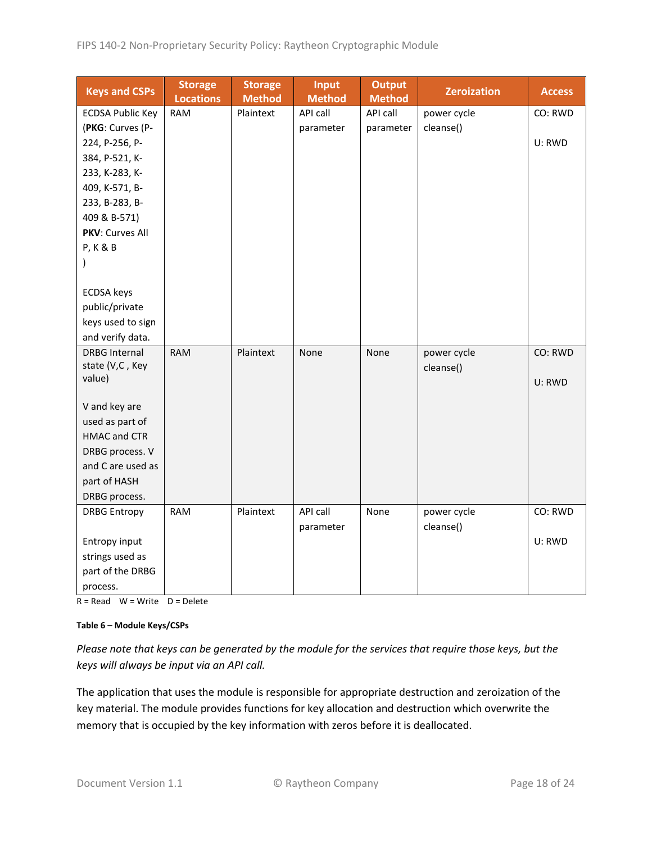| <b>Keys and CSPs</b>    | <b>Storage</b><br><b>Locations</b> | <b>Storage</b><br><b>Method</b> | <b>Input</b><br><b>Method</b> | <b>Output</b><br><b>Method</b> | <b>Zeroization</b> | <b>Access</b> |
|-------------------------|------------------------------------|---------------------------------|-------------------------------|--------------------------------|--------------------|---------------|
| <b>ECDSA Public Key</b> | <b>RAM</b>                         | Plaintext                       | API call                      | API call                       | power cycle        | CO: RWD       |
| (PKG: Curves (P-        |                                    |                                 | parameter                     | parameter                      | cleanse()          |               |
| 224, P-256, P-          |                                    |                                 |                               |                                |                    | U: RWD        |
| 384, P-521, K-          |                                    |                                 |                               |                                |                    |               |
| 233, K-283, K-          |                                    |                                 |                               |                                |                    |               |
| 409, K-571, B-          |                                    |                                 |                               |                                |                    |               |
| 233, B-283, B-          |                                    |                                 |                               |                                |                    |               |
| 409 & B-571)            |                                    |                                 |                               |                                |                    |               |
| <b>PKV: Curves All</b>  |                                    |                                 |                               |                                |                    |               |
| <b>P, K &amp; B</b>     |                                    |                                 |                               |                                |                    |               |
| $\mathcal{C}$           |                                    |                                 |                               |                                |                    |               |
|                         |                                    |                                 |                               |                                |                    |               |
| <b>ECDSA</b> keys       |                                    |                                 |                               |                                |                    |               |
| public/private          |                                    |                                 |                               |                                |                    |               |
| keys used to sign       |                                    |                                 |                               |                                |                    |               |
| and verify data.        |                                    |                                 |                               |                                |                    |               |
| <b>DRBG Internal</b>    | <b>RAM</b>                         | Plaintext                       | None                          | None                           | power cycle        | CO: RWD       |
| state (V,C, Key         |                                    |                                 |                               |                                | cleanse()          |               |
| value)                  |                                    |                                 |                               |                                |                    | U: RWD        |
| V and key are           |                                    |                                 |                               |                                |                    |               |
| used as part of         |                                    |                                 |                               |                                |                    |               |
| <b>HMAC and CTR</b>     |                                    |                                 |                               |                                |                    |               |
| DRBG process. V         |                                    |                                 |                               |                                |                    |               |
| and C are used as       |                                    |                                 |                               |                                |                    |               |
| part of HASH            |                                    |                                 |                               |                                |                    |               |
| DRBG process.           |                                    |                                 |                               |                                |                    |               |
| <b>DRBG Entropy</b>     | <b>RAM</b>                         | Plaintext                       | API call                      | None                           | power cycle        | CO: RWD       |
|                         |                                    |                                 | parameter                     |                                | cleanse()          |               |
| Entropy input           |                                    |                                 |                               |                                |                    | U: RWD        |
| strings used as         |                                    |                                 |                               |                                |                    |               |
| part of the DRBG        |                                    |                                 |                               |                                |                    |               |
| process.                |                                    |                                 |                               |                                |                    |               |

 $R = Read$  W = Write D = Delete

#### **Table 6 – Module Keys/CSPs**

*Please note that keys can be generated by the module for the services that require those keys, but the keys will always be input via an API call.*

The application that uses the module is responsible for appropriate destruction and zeroization of the key material. The module provides functions for key allocation and destruction which overwrite the memory that is occupied by the key information with zeros before it is deallocated.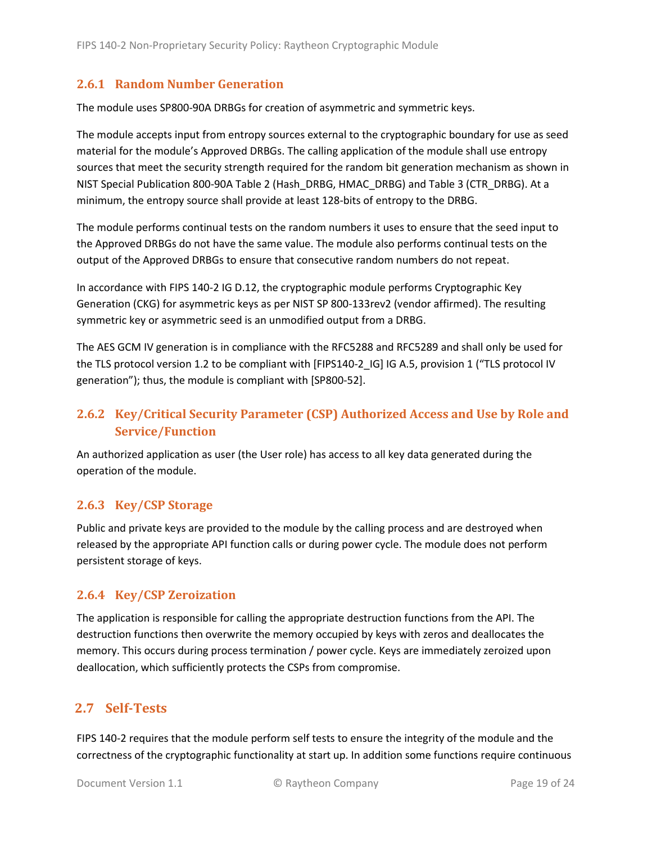#### <span id="page-18-0"></span>**2.6.1 Random Number Generation**

The module uses SP800-90A DRBGs for creation of asymmetric and symmetric keys.

The module accepts input from entropy sources external to the cryptographic boundary for use as seed material for the module's Approved DRBGs. The calling application of the module shall use entropy sources that meet the security strength required for the random bit generation mechanism as shown in NIST Special Publication 800-90A Table 2 (Hash\_DRBG, HMAC\_DRBG) and Table 3 (CTR\_DRBG). At a minimum, the entropy source shall provide at least 128-bits of entropy to the DRBG.

The module performs continual tests on the random numbers it uses to ensure that the seed input to the Approved DRBGs do not have the same value. The module also performs continual tests on the output of the Approved DRBGs to ensure that consecutive random numbers do not repeat.

In accordance with FIPS 140-2 IG D.12, the cryptographic module performs Cryptographic Key Generation (CKG) for asymmetric keys as per NIST SP 800-133rev2 (vendor affirmed). The resulting symmetric key or asymmetric seed is an unmodified output from a DRBG.

The AES GCM IV generation is in compliance with the RFC5288 and RFC5289 and shall only be used for the TLS protocol version 1.2 to be compliant with [FIPS140-2 IG] IG A.5, provision 1 ("TLS protocol IV generation"); thus, the module is compliant with [SP800-52].

# <span id="page-18-1"></span>**2.6.2 Key/Critical Security Parameter (CSP) Authorized Access and Use by Role and Service/Function**

An authorized application as user (the User role) has access to all key data generated during the operation of the module.

#### <span id="page-18-2"></span>**2.6.3 Key/CSP Storage**

Public and private keys are provided to the module by the calling process and are destroyed when released by the appropriate API function calls or during power cycle. The module does not perform persistent storage of keys.

#### <span id="page-18-3"></span>**2.6.4 Key/CSP Zeroization**

The application is responsible for calling the appropriate destruction functions from the API. The destruction functions then overwrite the memory occupied by keys with zeros and deallocates the memory. This occurs during process termination / power cycle. Keys are immediately zeroized upon deallocation, which sufficiently protects the CSPs from compromise.

#### <span id="page-18-4"></span>**2.7 Self-Tests**

FIPS 140-2 requires that the module perform self tests to ensure the integrity of the module and the correctness of the cryptographic functionality at start up. In addition some functions require continuous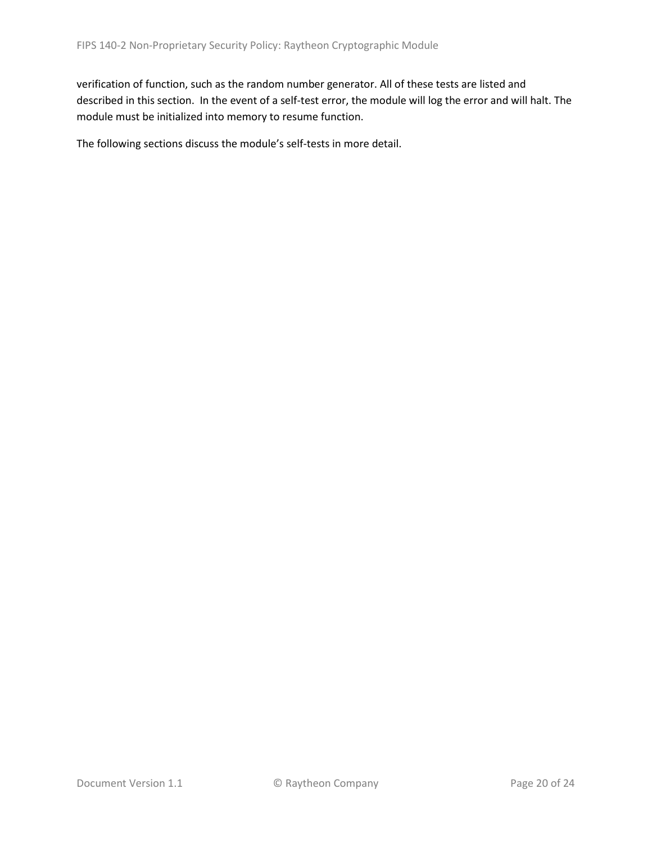verification of function, such as the random number generator. All of these tests are listed and described in this section. In the event of a self-test error, the module will log the error and will halt. The module must be initialized into memory to resume function.

The following sections discuss the module's self-tests in more detail.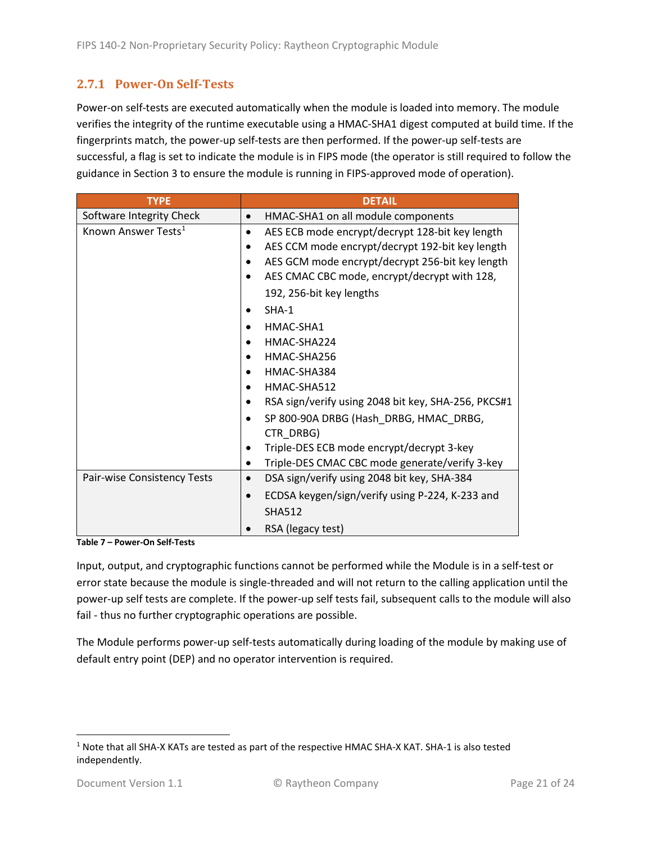### <span id="page-20-0"></span>**2.7.1 Power-On Self-Tests**

Power-on self-tests are executed automatically when the module is loaded into memory. The module verifies the integrity of the runtime executable using a HMAC-SHA1 digest computed at build time. If the fingerprints match, the power-up self-tests are then performed. If the power-up self-tests are successful, a flag is set to indicate the module is in FIPS mode (the operator is still required to follow the guidance in Section 3 to ensure the module is running in FIPS-approved mode of operation).

| <b>TYPE</b>                     | <b>DETAIL</b>                                                |  |  |  |
|---------------------------------|--------------------------------------------------------------|--|--|--|
| Software Integrity Check        | HMAC-SHA1 on all module components                           |  |  |  |
| Known Answer Tests <sup>1</sup> | AES ECB mode encrypt/decrypt 128-bit key length<br>$\bullet$ |  |  |  |
|                                 | AES CCM mode encrypt/decrypt 192-bit key length              |  |  |  |
|                                 | AES GCM mode encrypt/decrypt 256-bit key length              |  |  |  |
|                                 | AES CMAC CBC mode, encrypt/decrypt with 128,                 |  |  |  |
|                                 | 192, 256-bit key lengths                                     |  |  |  |
|                                 | $SHA-1$                                                      |  |  |  |
|                                 | HMAC-SHA1                                                    |  |  |  |
|                                 | HMAC-SHA224                                                  |  |  |  |
|                                 | HMAC-SHA256                                                  |  |  |  |
|                                 | HMAC-SHA384                                                  |  |  |  |
|                                 | HMAC-SHA512                                                  |  |  |  |
|                                 | RSA sign/verify using 2048 bit key, SHA-256, PKCS#1          |  |  |  |
|                                 | SP 800-90A DRBG (Hash DRBG, HMAC DRBG,<br>CTR DRBG)          |  |  |  |
|                                 | Triple-DES ECB mode encrypt/decrypt 3-key                    |  |  |  |
|                                 | Triple-DES CMAC CBC mode generate/verify 3-key               |  |  |  |
| Pair-wise Consistency Tests     | DSA sign/verify using 2048 bit key, SHA-384<br>$\bullet$     |  |  |  |
|                                 | ECDSA keygen/sign/verify using P-224, K-233 and              |  |  |  |
|                                 | <b>SHA512</b>                                                |  |  |  |
|                                 | RSA (legacy test)                                            |  |  |  |

**Table 7 – Power-On Self-Tests**

Input, output, and cryptographic functions cannot be performed while the Module is in a self-test or error state because the module is single-threaded and will not return to the calling application until the power-up self tests are complete. If the power-up self tests fail, subsequent calls to the module will also fail - thus no further cryptographic operations are possible.

The Module performs power-up self-tests automatically during loading of the module by making use of default entry point (DEP) and no operator intervention is required.

<span id="page-20-1"></span><sup>1</sup> Note that all SHA-X KATs are tested as part of the respective HMAC SHA-X KAT. SHA-1 is also tested independently.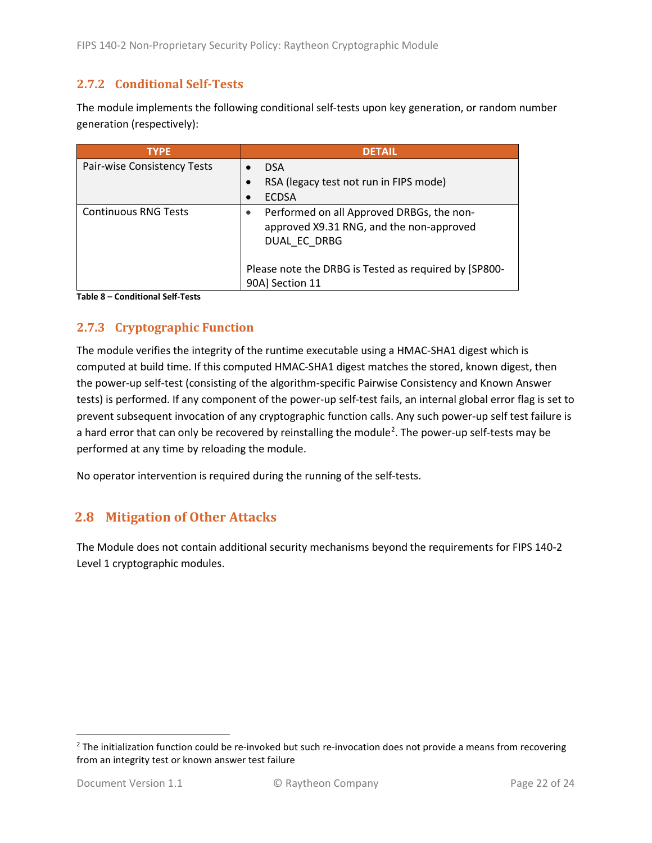#### <span id="page-21-0"></span>**2.7.2 Conditional Self-Tests**

The module implements the following conditional self-tests upon key generation, or random number generation (respectively):

| <b>TYPE</b>                 | <b>DETAIL</b>                                                                                         |
|-----------------------------|-------------------------------------------------------------------------------------------------------|
| Pair-wise Consistency Tests | <b>DSA</b>                                                                                            |
|                             | RSA (legacy test not run in FIPS mode)                                                                |
|                             | <b>ECDSA</b>                                                                                          |
| <b>Continuous RNG Tests</b> | Performed on all Approved DRBGs, the non-<br>approved X9.31 RNG, and the non-approved<br>DUAL EC DRBG |
|                             | Please note the DRBG is Tested as required by [SP800-<br>90A] Section 11                              |

**Table 8 – Conditional Self-Tests**

## <span id="page-21-1"></span>**2.7.3 Cryptographic Function**

The module verifies the integrity of the runtime executable using a HMAC-SHA1 digest which is computed at build time. If this computed HMAC-SHA1 digest matches the stored, known digest, then the power-up self-test (consisting of the algorithm-specific Pairwise Consistency and Known Answer tests) is performed. If any component of the power-up self-test fails, an internal global error flag is set to prevent subsequent invocation of any cryptographic function calls. Any such power-up self test failure is a hard error that can only be recovered by reinstalling the module<sup>[2](#page-21-3)</sup>. The power-up self-tests may be performed at any time by reloading the module.

No operator intervention is required during the running of the self-tests.

## <span id="page-21-2"></span>**2.8 Mitigation of Other Attacks**

The Module does not contain additional security mechanisms beyond the requirements for FIPS 140-2 Level 1 cryptographic modules.

<span id="page-21-3"></span> $2$  The initialization function could be re-invoked but such re-invocation does not provide a means from recovering from an integrity test or known answer test failure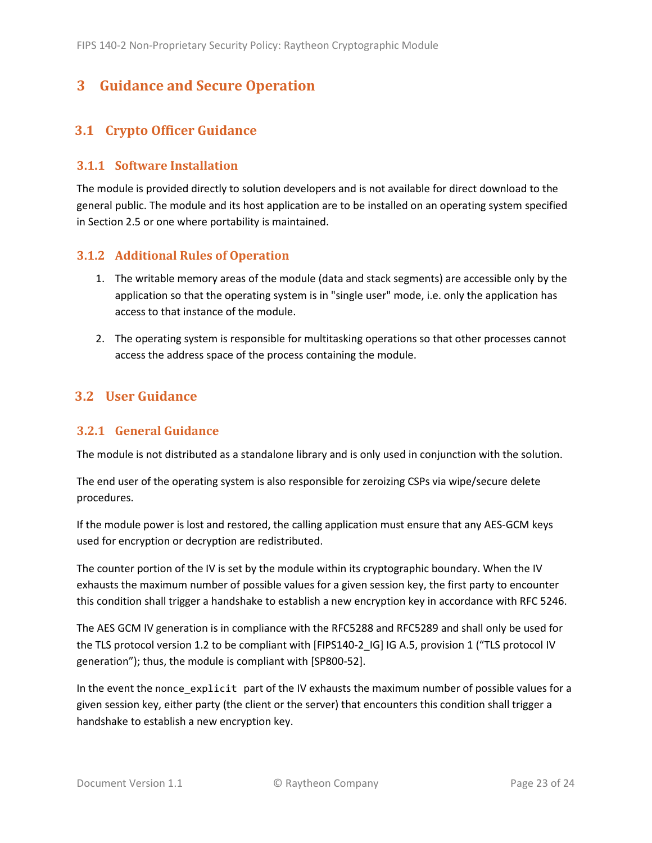# <span id="page-22-0"></span>**3 Guidance and Secure Operation**

# <span id="page-22-1"></span>**3.1 Crypto Officer Guidance**

#### <span id="page-22-2"></span>**3.1.1 Software Installation**

The module is provided directly to solution developers and is not available for direct download to the general public. The module and its host application are to be installed on an operating system specified in Section [2.5](#page-13-2) or one where portability is maintained.

#### <span id="page-22-3"></span>**3.1.2 Additional Rules of Operation**

- 1. The writable memory areas of the module (data and stack segments) are accessible only by the application so that the operating system is in "single user" mode, i.e. only the application has access to that instance of the module.
- 2. The operating system is responsible for multitasking operations so that other processes cannot access the address space of the process containing the module.

## <span id="page-22-4"></span>**3.2 User Guidance**

#### <span id="page-22-5"></span>**3.2.1 General Guidance**

The module is not distributed as a standalone library and is only used in conjunction with the solution.

The end user of the operating system is also responsible for zeroizing CSPs via wipe/secure delete procedures.

If the module power is lost and restored, the calling application must ensure that any AES-GCM keys used for encryption or decryption are redistributed.

The counter portion of the IV is set by the module within its cryptographic boundary. When the IV exhausts the maximum number of possible values for a given session key, the first party to encounter this condition shall trigger a handshake to establish a new encryption key in accordance with RFC 5246.

The AES GCM IV generation is in compliance with the RFC5288 and RFC5289 and shall only be used for the TLS protocol version 1.2 to be compliant with [FIPS140-2 IG] IG A.5, provision 1 ("TLS protocol IV generation"); thus, the module is compliant with [SP800-52].

In the event the nonce\_explicit part of the IV exhausts the maximum number of possible values for a given session key, either party (the client or the server) that encounters this condition shall trigger a handshake to establish a new encryption key.